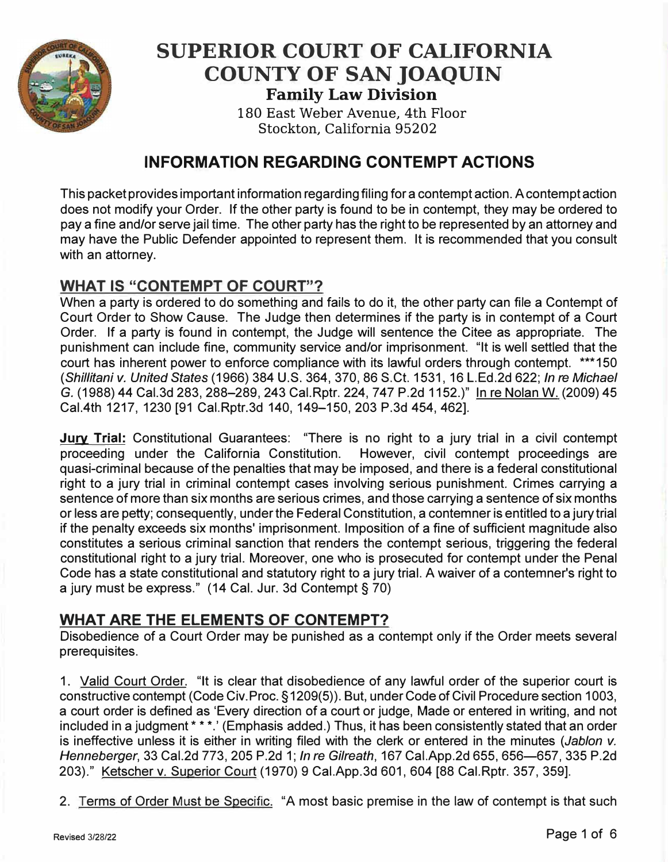

# **SUPERIOR COURT OF CALIFORNIA COUNTY OF SAN JOAQUIN Family Law Division**

180 East Weber Avenue, 4th Floor Stockton, California 95202

# **INFORMATION REGARDING CONTEMPT ACTIONS**

This packet provides important information regarding filing for a contempt action. A contempt action does not modify your Order. If the other party is found to be in contempt, they may be ordered to pay a fine and/or serve jail time. The other party has the right to be represented by an attorney and may have the Public Defender appointed to represent them. It is recommended that you consult with an attorney.

## **WHAT IS "CONTEMPT OF COURT"?**

When a party is ordered to do something and fails to do it, the other party can file a Contempt of Court Order to Show Cause. The Judge then determines if the party is in contempt of a Court Order. If a party is found in contempt, the Judge will sentence the Citee as appropriate. The punishment can include fine, community service and/or imprisonment. "It is well settled that the court has inherent power to enforce compliance with its lawful orders through contempt. \*\*\* 150 *(Shillitani v. United States* (1966) 384 U.S. 364, 370, 86 S.Ct. 1531, 16 L.Ed.2d 622; *In re Michael*  G. (1988) 44 Cal.3d 283, 288-289, 243 Cal.Rptr. 224, 747 P.2d 1152.)" In re Nolan W. (2009) 45 Cal.4th 1217, 1230 [91 Cal.Rptr.3d 140, 149-150, 203 P.3d 454,462].

Jury **Trial:** Constitutional Guarantees: "There is no right to a jury trial in a civil contempt proceeding under the California Constitution. However, civil contempt proceedings are quasi-criminal because of the penalties that may be imposed, and there is a federal constitutional right to a jury trial in criminal contempt cases involving serious punishment. Crimes carrying a sentence of more than six months are serious crimes, and those carrying a sentence of six months or less are petty; consequently, under the Federal Constitution, a contemner is entitled to a jury trial if the penalty exceeds six months' imprisonment. Imposition of a fine of sufficient magnitude also constitutes a serious criminal sanction that renders the contempt serious, triggering the federal constitutional right to a jury trial. Moreover, one who is prosecuted for contempt under the Penal Code has a state constitutional and statutory right to a jury trial. A waiver of a contemner's right to a jury must be express." (14 Cal. Jur. 3d Contempt§ 70)

## **WHAT ARE THE ELEMENTS OF CONTEMPT?**

Disobedience of a Court Order may be punished as a contempt only if the Order meets several prerequisites.

1. Valid Court Order. "It is clear that disobedience of any lawful order of the superior court is constructive contempt (Code Civ.Proc. § 1209(5) ). But, under Code of Civil Procedure section 1003, a court order is defined as 'Every direction of a court or judge, Made or entered in writing, and not included in a judgment \* \* \*.' (Emphasis added.) Thus, it has been consistently stated that an order is ineffective unless it is either in writing filed with the clerk or entered in the minutes *(Jablon v. Henneberger,* 33 Cal.2d 773, 205 P.2d 1; *In re Gilreath,* 167 Cal.App.2d 655, 656-657, 335 P.2d 203)." Ketscher v. Superior Court (1970) 9 Cal.App.3d 601, 604 [88 Cal.Rptr. 357, 359].

2. Terms of Order Must be Specific. "A most basic premise in the law of contempt is that such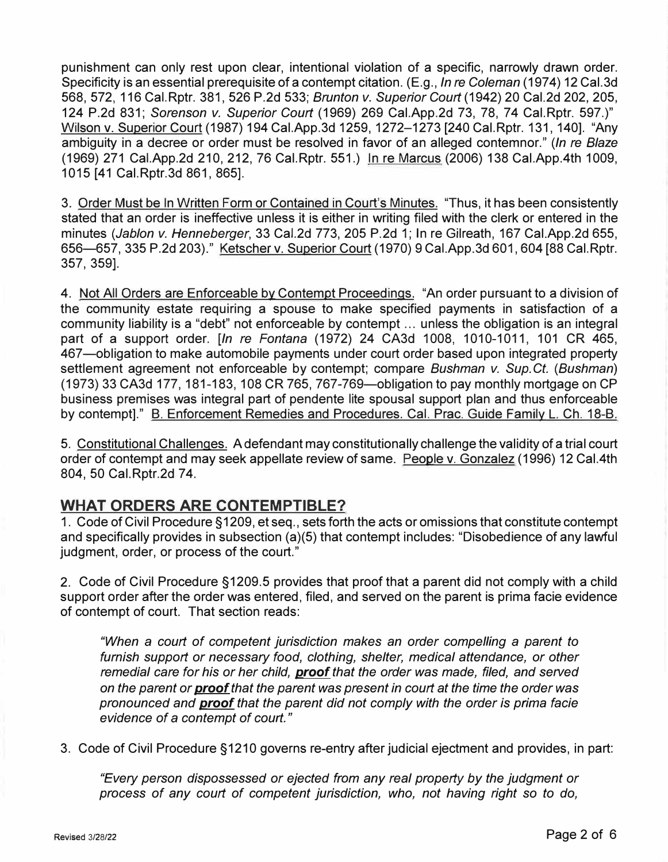punishment can only rest upon clear, intentional violation of a specific, narrowly drawn order. Specificity is an essential prerequisite of a contempt citation. (E.g., *In re Coleman* (1974) 12 Cal.3d 568, 572, 116 Cal.Rptr. 381, 526 P.2d 533; *Brunton v. Superior Court* (1942) 20 Cal.2d 202, 205, 124 P.2d 831; *Sorenson v. Superior Court* (1969) 269 Cal.App.2d 73, 78, 74 Cal.Rptr. 597.)" Wilson v. Superior Court (1987) 194 Cal.App.3d 1259, 1272-1273 [240 Cal.Rptr. 131, 140]. "Any ambiguity in a decree or order must be resolved in favor of an alleged contemnor." *(In re Blaze*  (1969) 271 Cal.App.2d 210,212, 76 Cal.Rptr. 551.) In re Marcus (2006) 138 Cal.App.4th 1009, 1015 [41 Cal.Rptr.3d 861, 865).

3. Order Must be In Written Form or Contained in Court's Minutes. "Thus, it has been consistently stated that an order is ineffective unless it is either in writing filed with the clerk or entered in the minutes *(Jablon v. Henneberger,* 33 Cal.2d 773, 205 P.2d 1; In re Gilreath, 167 Cal.App.2d 655, 656-657, 335 P.2d 203)." Ketscher v. Superior Court (1970) 9 Cal.App.3d 601,604 [88 Cal.Rptr. 357,359].

4. Not All Orders are Enforceable by Contempt Proceedings. "An order pursuant to a division of the community estate requiring a spouse to make specified payments in satisfaction of a community liability is a "debt" not enforceable by contempt ... unless the obligation is an integral part of a support order. *[In re Fontana* (1972) 24 CA3d 1008, 1010-1011, 101 CR 465, 467—obligation to make automobile payments under court order based upon integrated property settlement agreement not enforceable by contempt; compare *Bushman v. Sup. Ct. (Bushman)* (1973) 33 CA3d 177, 181-183, 108 CR 765, 767-769—obligation to pay monthly mortgage on CP business premises was integral part of pendente lite spousal support plan and thus enforceable by contempt]." 8. Enforcement Remedies and Procedures. Cal. Prac. Guide Family L. Ch. 18-8.

5. Constitutional Challenges. A defendant may constitutionally challenge the validity of a trial court order of contempt and may seek appellate review of same. People v. Gonzalez (1996) 12 Cal.4th 804, 50 Cal.Rptr.2d 74.

## **WHAT ORDERS ARE CONTEMPTIBLE?**

1. Code of Civil Procedure §1209, et seq., sets forth the acts or omissions that constitute contempt and specifically provides in subsection (a)(5) that contempt includes: "Disobedience of any lawful judgment, order, or process of the court."

2. Code of Civil Procedure §1209.5 provides that proof that a parent did not comply with a child support order after the order was entered, filed, and served on the parent is prima facie evidence of contempt of court. That section reads:

*"When* a *court of competent jurisdiction makes an order compelling* a *parent to furnish support or necessary food, clothing, shelter, medical attendance, or other remedial care for his or her child, proof that the order was made, filed, and served on the parent or proof that the parent was present in court at the time the order was pronounced and proof that the parent did not comply with the order is prima facie evidence of* a *contempt of court."* 

3. Code of Civil Procedure §1210 governs re-entry after judicial ejectment and provides, in part:

*"Every person dispossessed or ejected from any real property by the judgment or process of any court of competent jurisdiction, who, not having right so to do,*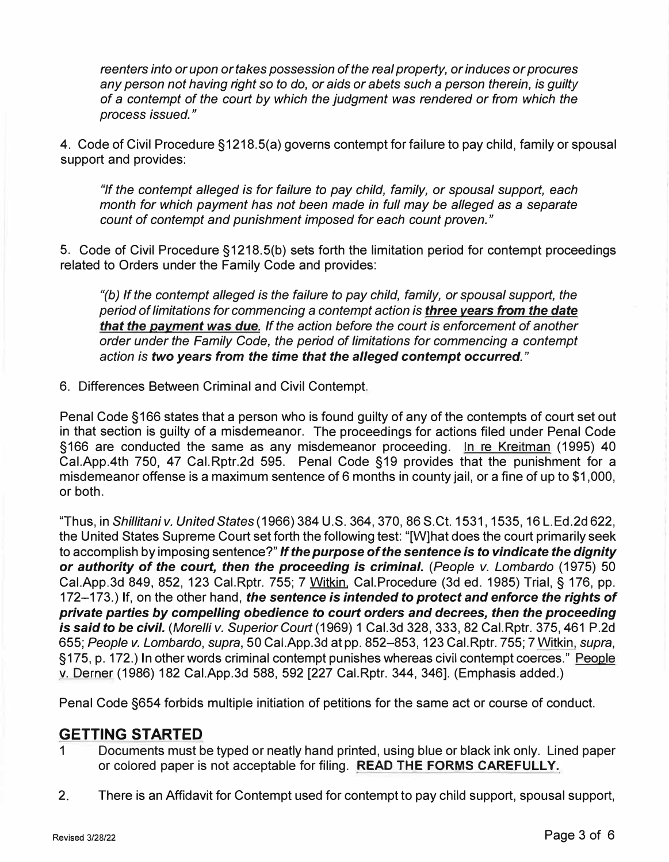*reenters into or upon or takes possession of the real property, or induces or procures any person not having right so to do, or aids or abets such a person therein, is guilty of a contempt of the court by which the judgment was rendered or from which the process issued.* "

4. Code of Civil Procedure §1218.5(a) governs contempt for failure to pay child, family or spousal support and provides:

*"If the contempt alleged is for failure to pay child, family, or spousal support, each*  month for which payment has not been made in full may be alleged as a separate *count of contempt and punishment imposed for each count proven."* 

5. Code of Civil Procedure §1218.5(b) sets forth the limitation period for contempt proceedings related to Orders under the Family Code and provides:

*"(b) If the contempt alleged is the failure to pay child, family, or spousal support, the period of limitations for commencing a contempt action is three years from .the date that the payment was due. If the action before the court is enforcement of another order under the Family Code, the period of limitations for commencing a contempt action is two years from the time that the alleged contempt occurred."* 

6. Differences Between Criminal and Civil Contempt.

Penal Code § 166 states that a person who is found guilty of any of the contempts of court set out in that section is guilty of a misdemeanor. The proceedings for actions filed under Penal Code §166 are conducted the same as any misdemeanor proceeding. In re Kreitman (1995) 40 Cal.App.4th 750, 47 Cal.Rptr.2d 595. Penal Code §19 provides that the punishment for a misdemeanor offense is a maximum sentence of 6 months in county jail, or a fine of up to \$1,000, or both.

"Thus, in *Shillitani v. United States* (1966) 384 U.S. 364,370, 86 S.Ct. 1531, 1535, 16 L.Ed.2d 622, the United States Supreme Court set forth the following test: "[W]hat does the court primarily seek to accomplish by imposing sentence?" *If the purpose of the sentence is to vindicate the dignity or authority of the court, then the proceeding is criminal. (People v. Lombardo* (1975) 50 Cal.App.3d 849, 852, 123 Cal.Rptr. 755; 7 Witkin, Cal.Procedure (3d ed. 1985) Trial,§ 176, pp. 172-173.) If, on the other hand, *the sentence is intended to protect and enforce the rights of private parties by compelling obedience to court orders and decrees, then the proceeding is said to be civil. (Morelli v. Superior Court* (1969) 1 Cal.3d 328, 333, 82 Cal.Rptr. 375,461 P.2d 655; *People v. Lombardo, supra,* 50 Cal.App.3d at pp. 852-853, 123 Cal.Rptr. 755; 7 Witkin, *supra,* §175, p. 172.) In other words criminal contempt punishes whereas civil contempt coerces." People v. Demer (1986) 182 Cal.App.3d 588, 592 [227 Cal.Rptr. 344, 346]. (Emphasis added.)

Penal Code §654 forbids multiple initiation of petitions for the same act or course of conduct.

### **GETTING STARTED**

- 1 Documents must be typed or neatly hand printed, using blue or black ink only. Lined paper or colored paper is not acceptable for filing. **READ THE FORMS CAREFULLY.**
- 2. There is an Affidavit for Contempt used for contempt to pay child support, spousal support,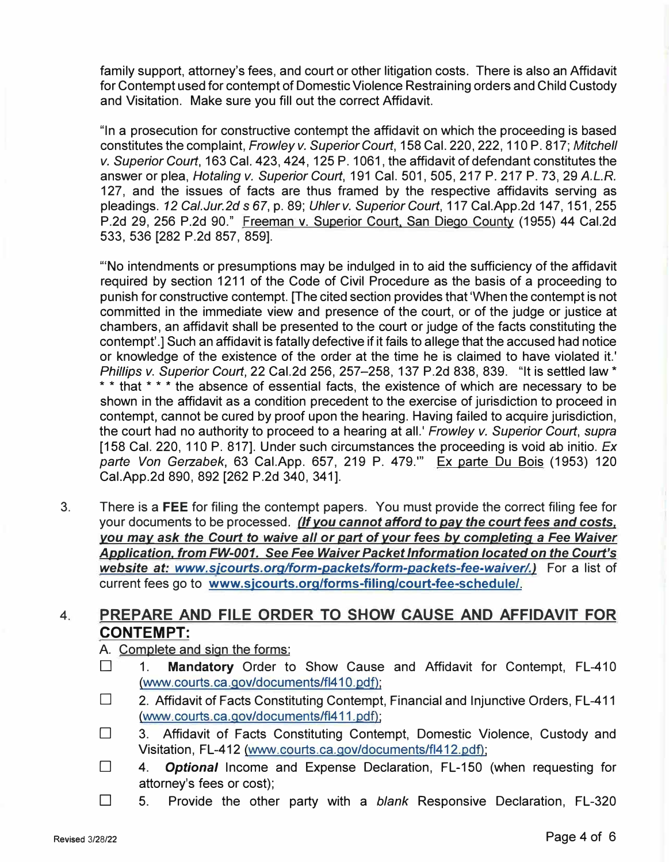family support, attorney's fees, and court or other litigation costs. There is also an Affidavit for Contempt used for contempt of Domestic Violence Restraining orders and Child Custody and Visitation. Make sure you fill out the correct Affidavit.

"In a prosecution for constructive contempt the affidavit on which the proceeding is based constitutes the complaint, *Frawley v. Superior Court,* 158 Cal. 220,222, 110 P. 817; *Mitchell v. Superior Court,* 163 Cal. 423, 424, 125 P. 1061, the affidavit of defendant constitutes the answer or plea, *Hotalingv. SuperiorCourt,* 191 Cal. 501,505,217 P. 217 P. 73, *29A.L.R.* 127, and the issues of facts are thus framed by the respective affidavits serving as pleadings. *12 Cal.Jur.2d s 67,* p. 89; *Uhlerv. Superior Court,* 117 Cal.App.2d 147,151,255 P.2d 29, 256 P.2d 90." Freeman v. Superior Court, San Diego County (1955) 44 Cal.2d 533, 536 [282 P .2d 857, 859].

"'No intendments or presumptions may be indulged in to aid the sufficiency of the affidavit required by section 1211 of the Code of Civil Procedure as the basis of a proceeding to punish for constructive contempt. [The cited section provides that 'When the contempt is not committed in the immediate view and presence of the court, or of the judge or justice at chambers, an affidavit shall be presented to the court or judge of the facts constituting the contempt'.] Such an affidavit is fatally defective if it fails to allege that the accused had notice or knowledge of the existence of the order at the time he is claimed to have violated it.' *Phillips v. Superior Court,* 22 Cal.2d 256, 257-258, 137 P.2d 838, 839. "It is settled law\* \* \* that \* \* \* the absence of essential facts, the existence of which are necessary to be shown in the affidavit as a condition precedent to the exercise of jurisdiction to proceed in contempt, cannot be cured by proof upon the hearing. Having failed to acquire jurisdiction, the court had no authority to proceed to a hearing at all.' *Frawley v. Superior Court, supra* [158 Cal. 220, 110 P. 817]. Under such circumstances the proceeding is void ab initio. *Ex parte Von Gerzabek,* 63 Cal.App. 657, 219 P. 479."' Ex parte Du Bois (1953) 120 Cal.App.2d 890, 892 [262 P.2d 340, 341].

3. There is a **FEE** for filing the contempt papers. You must provide the correct filing fee for your documents to be processed. *(If you cannot afford to pay the court fees and costs. you may ask the Court to waive all or part of your fees by completing a Fee Waiver Application. from FW-001. See* Fee *Waiver Packet Information located on the Court's website at: www.sicourts.org/form-packets/form-packets-fee-waiver/.)* For a list of current fees go to **www.sjcourts.org/forms-filing/court-fee-schedule/.**

### **4. PREPARE AND FILE ORDER TO SHOW CAUSE AND AFFIDAVIT FOR CONTEMPT:**

- A. Complete and sign the forms:
- D 1. **Mandatory** Order to Show Cause and Affidavit for Contempt, FL-410 (www.courts.ca.gov/documents/fl410.pdf);
- $\Box$  2. Affidavit of Facts Constituting Contempt, Financial and Injunctive Orders, FL-411 (www.courts.ca.gov/documents/fl411.pdf);
- □ 3. Affidavit of Facts Constituting Contempt, Domestic Violence, Custody and Visitation, FL-412 (www.courts.ca.gov/documents/fl412.pdf);
- □ 4. *Optional* Income and Expense Declaration, FL-150 (when requesting for attorney's fees or cost);
- □ 5. Provide the other party with a *blank* Responsive Declaration, FL-320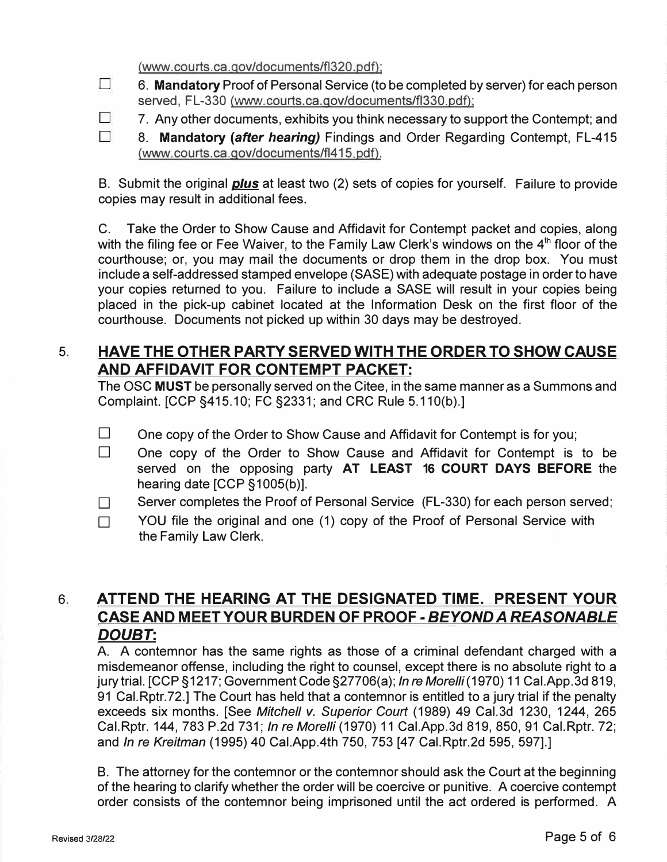(www.courts.ca.gov/documents/fl320.pdf);

□ 6. **Mandatory** Proof of Personal Service (to be completed by server) for each person served, FL-330 (www.courts.ca.gov/documents/fl330.pdf);

 $\Box$  7. Any other documents, exhibits you think necessary to support the Contempt; and

| 8. Mandatory (after hearing) Findings and Order Regarding Contempt, FL-415 |  |
|----------------------------------------------------------------------------|--|
| (www.courts.ca.gov/documents/fl415.pdf).                                   |  |

B. Submit the original *plus* at least two (2) sets of copies for yourself. Failure to provide copies may result in additional fees.

C. Take the Order to Show Cause and Affidavit for Contempt packet and copies, along with the filing fee or Fee Waiver, to the Family Law Clerk's windows on the  $4^\text{th}$  floor of the courthouse; or, you may mail the documents or drop them in the drop box. You must include a self-addressed stamped envelope (SASE) with adequate postage in order to have your copies returned to you. Failure to include a SASE will result in your copies being placed in the pick-up cabinet located at the Information Desk on the first floor of the courthouse. Documents not picked up within 30 days may be destroyed.

# 5. **HAVE THE OTHER PARTY SERVED WITH THE ORDER TO SHOW CAUSE AND AFFIDAVIT FOR CONTEMPT PACKET:**

The OSC **MUST** be personally served on the Citee, in the same manner as a Summons and Complaint. [CCP §415.10; FC §2331; and CRC Rule 5.110(b).]

- $\Box$ One copy of the Order to Show Cause and Affidavit for Contempt is for you;
- $\Box$ One copy of the Order to Show Cause and Affidavit for Contempt is to be served on the opposing party **AT LEAST 16 COURT DAYS BEFORE** the hearing date [CCP §1005(b)].
- $\Box$ Server completes the Proof of Personal Service (FL-330) for each person served;
- $\Box$ YOU file the original and one (1) copy of the Proof of Personal Service with the Family Law Clerk.

6. **ATTEND THE HEARING AT THE DESIGNATED TIME. PRESENT YOUR CASE AND MEET YOUR BURDEN OF PROOF -***BEYOND A REASONABLE DOUBT:*

A. A contemnor has the same rights as those of a criminal defendant charged with a misdemeanor offense, including the right to counsel, except there is no absolute right to a jury trial. [CCP §1217; Government Code §27706(a); *In re Morelli(1970)* 11 Cal.App.3d 819, 91 Cal.Rptr.72.] The Court has held that a contemnor is entitled to a jury trial if the penalty exceeds six months. [See *Mitchell v. Superior Court* (1989) 49 Cal.3d 1230, 1244, 265 Cal.Rptr. 144, 783 P.2d 731; *In re Morelli* (1970) 11 Cal.App.3d 819, 850, 91 Cal.Rptr. 72; and *In re Kreitman* (1995) 40 Cal.App.4th 750, 753 [47 Cal.Rptr.2d 595, 597].]

B. The attorney for the contemnor or the contemnor should ask the Court at the beginning of the hearing to clarify whether the order will be coercive or punitive. A coercive contempt order consists of the contemnor being imprisoned until the act ordered is performed. A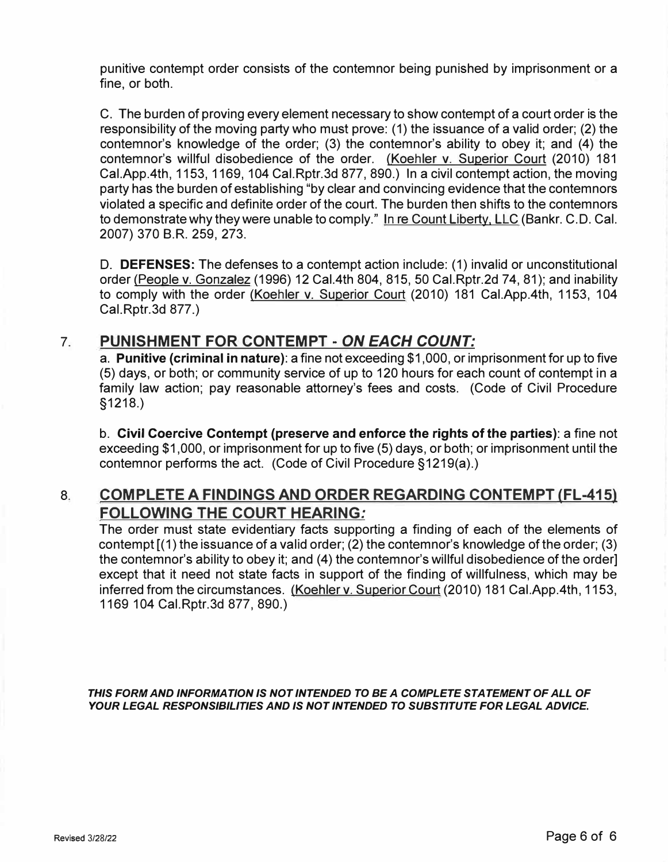punitive contempt order consists of the contemnor being punished by imprisonment or a fine, or both.

C. The burden of proving every element necessary to show contempt of a court order is the responsibility of the moving party who must prove: ( 1) the issuance of a valid order; (2) the contemnor's knowledge of the order; (3) the contemnor's ability to obey it; and (4) the contemnor's willful disobedience of the order. (Koehler v. Superior Court (2010) 181 Cal.App.4th, 1153, 1169, 104 Cal.Rptr.3d 877, 890.) In a civil contempt action, the moving party has the burden of establishing "by clear and convincing evidence that the contemnors violated a specific and definite order of the court. The burden then shifts to the contemnors to demonstrate why they were unable to comply." In re Count Liberty, LLC (Bankr. C.D. Cal. 2007) 370 B.R. 259, 273.

D. **DEFENSES:** The defenses to a contempt action include: (1) invalid or unconstitutional order (People v. Gonzalez (1996) 12 Cal.4th 804, 815, 50 Cal.Rptr.2d 74, 81); and inability to comply with the order (Koehler v. Superior Court (2010) 181 Cal.App.4th, 1153, 104 Cal.Rptr.3d 877.)

#### 7. **PUNISHMENT FOR CONTEMPT -** *ON EACH COUNT:*

a. **Punitive (criminal in nature):** a fine not exceeding \$1,000, or imprisonment for up to five (5) days, or both; or community service of up to 120 hours for each count of contempt in a family law action; pay reasonable attorney's fees and costs. (Code of Civil Procedure §1218.)

b. **Civil Coercive Contempt (preserve and enforce the rights of the parties):** a fine not exceeding \$1,000, or imprisonment for up to five (5) days, or both; or imprisonment until the contemnor performs the act. (Code of Civil Procedure §1219(a).)

#### 8. **COMPLETE A FINDINGS AND ORDER REGARDING CONTEMPT (FL-415) FOLLOWING THE COURT HEARING:**

The order must state evidentiary facts supporting a finding of each of the elements of contempt [(1) the issuance of a valid order; (2) the contemnor's knowledge of the order; (3) the contemnor's ability to obey it; and (4) the contemnor's willful disobedience of the order] except that it need not state facts in support of the finding of willfulness, which may be inferred from the circumstances. (Koehler v. Superior Court (2010) 181 Cal.App.4th, 1153, 1169 104 Cal.Rptr.3d 877, 890.)

*THIS FORM AND INFORMATION IS NOT INTENDED* **TO** *BE A COMPLETE STATEMENT OF ALL OF YOUR LEGAL RESPONSIBILITIES AND IS NOT INTENDED* **TO** *SUBSTITUTE FOR LEGAL ADVICE.*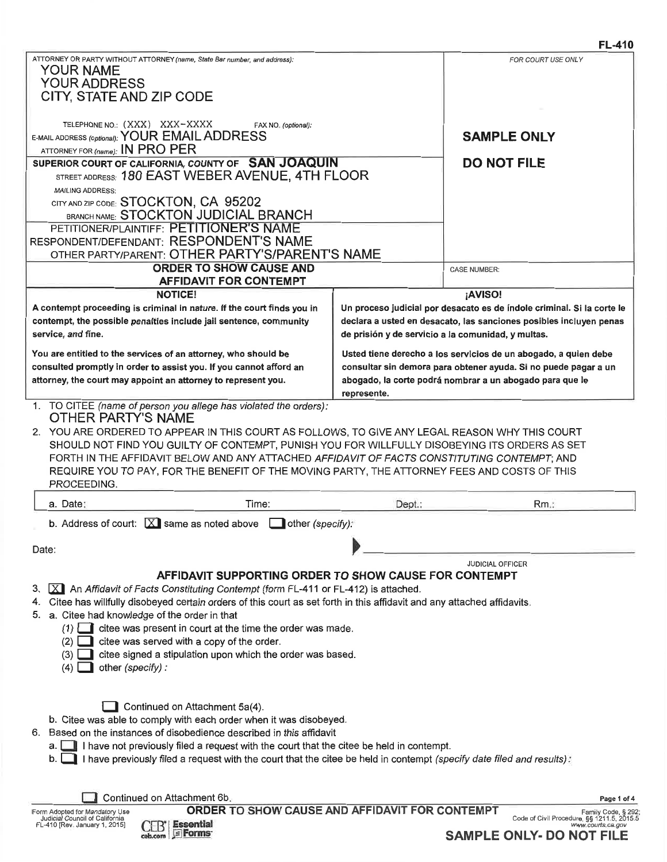| ATTORNEY OR PARTY WITHOUT ATTORNEY (name, State Bar number, and address):                                              | FOR COURT USE ONLY                                                                      |
|------------------------------------------------------------------------------------------------------------------------|-----------------------------------------------------------------------------------------|
| YOUR NAME                                                                                                              |                                                                                         |
| <b>YOUR ADDRESS</b>                                                                                                    |                                                                                         |
| CITY, STATE AND ZIP CODE                                                                                               |                                                                                         |
|                                                                                                                        |                                                                                         |
| TELEPHONE NO.: (XXX) XXX-XXXX<br>FAX NO. (optional):                                                                   |                                                                                         |
| E-MAIL ADDRESS (optional): YOUR EMAIL ADDRESS                                                                          | <b>SAMPLE ONLY</b>                                                                      |
| ATTORNEY FOR (name): IN PRO PER                                                                                        |                                                                                         |
| SUPERIOR COURT OF CALIFORNIA, COUNTY OF SAN JOAQUIN                                                                    | <b>DO NOT FILE</b>                                                                      |
| STREET ADDRESS: 180 EAST WEBER AVENUE, 4TH FLOOR                                                                       |                                                                                         |
| <b>MAILING ADDRESS:</b>                                                                                                |                                                                                         |
| CITY AND ZIP CODE: STOCKTON, CA 95202                                                                                  |                                                                                         |
| BRANCH NAME: STOCKTON JUDICIAL BRANCH                                                                                  |                                                                                         |
| PETITIONER/PLAINTIFF: PETITIONER'S NAME                                                                                |                                                                                         |
| RESPONDENT/DEFENDANT: RESPONDENT'S NAME                                                                                |                                                                                         |
| OTHER PARTY/PARENT: OTHER PARTY'S/PARENT'S NAME                                                                        |                                                                                         |
| ORDER TO SHOW CAUSE AND                                                                                                |                                                                                         |
| <b>AFFIDAVIT FOR CONTEMPT</b>                                                                                          | <b>CASE NUMBER:</b>                                                                     |
| <b>NOTICE!</b>                                                                                                         |                                                                                         |
|                                                                                                                        | ¡AVISO!                                                                                 |
| A contempt proceeding is criminal in nature. If the court finds you in                                                 | Un proceso judicial por desacato es de índole criminal. Si la corte le                  |
| contempt, the possible penalties include jail sentence, community                                                      | declara a usted en desacato, las sanciones posibles incluyen penas                      |
| service, and fine.                                                                                                     | de prisión y de servicio a la comunidad, y multas.                                      |
| You are entitled to the services of an attorney, who should be                                                         | Usted tiene derecho a los servicios de un abogado, a quien debe                         |
| consulted promptly in order to assist you. If you cannot afford an                                                     | consultar sin demora para obtener ayuda. Si no puede pagar a un                         |
| attorney, the court may appoint an attorney to represent you.                                                          | abogado, la corte podrá nombrar a un abogado para que le                                |
|                                                                                                                        | represente.                                                                             |
| 1. TO CITEE (name of person you allege has violated the orders):                                                       |                                                                                         |
| <b>OTHER PARTY'S NAME</b>                                                                                              |                                                                                         |
| 2. YOU ARE ORDERED TO APPEAR IN THIS COURT AS FOLLOWS, TO GIVE ANY LEGAL REASON WHY THIS COURT                         |                                                                                         |
|                                                                                                                        |                                                                                         |
|                                                                                                                        |                                                                                         |
| SHOULD NOT FIND YOU GUILTY OF CONTEMPT, PUNISH YOU FOR WILLFULLY DISOBEYING ITS ORDERS AS SET                          |                                                                                         |
| FORTH IN THE AFFIDAVIT BELOW AND ANY ATTACHED AFFIDAVIT OF FACTS CONSTITUTING CONTEMPT; AND                            |                                                                                         |
| REQUIRE YOU TO PAY, FOR THE BENEFIT OF THE MOVING PARTY, THE ATTORNEY FEES AND COSTS OF THIS                           |                                                                                         |
| PROCEEDING.                                                                                                            |                                                                                         |
| a. Date:<br>Time:                                                                                                      | Dept.:<br>$Rm$ .:                                                                       |
|                                                                                                                        |                                                                                         |
| b. Address of court: $X$ same as noted above<br>other (specify).                                                       |                                                                                         |
|                                                                                                                        |                                                                                         |
| Date:                                                                                                                  |                                                                                         |
|                                                                                                                        | JUDICIAL OFFICER                                                                        |
|                                                                                                                        | AFFIDAVIT SUPPORTING ORDER TO SHOW CAUSE FOR CONTEMPT                                   |
| X An Affidavit of Facts Constituting Contempt (form FL-411 or FL-412) is attached.<br>3.                               |                                                                                         |
| Citee has willfully disobeyed certain orders of this court as set forth in this affidavit and any attached affidavits. |                                                                                         |
| a. Citee had knowledge of the order in that<br>5.                                                                      |                                                                                         |
| citee was present in court at the time the order was made.<br>$(1)$                                                    |                                                                                         |
| citee was served with a copy of the order.<br>(2)                                                                      |                                                                                         |
| citee signed a stipulation upon which the order was based.<br>(3)                                                      |                                                                                         |
| other (specify):<br>(4)                                                                                                |                                                                                         |
|                                                                                                                        |                                                                                         |
|                                                                                                                        |                                                                                         |
| Continued on Attachment 5a(4).                                                                                         |                                                                                         |
| b. Citee was able to comply with each order when it was disobeyed.                                                     |                                                                                         |
| Based on the instances of disobedience described in this affidavit<br>6.                                               |                                                                                         |
| I have not previously filed a request with the court that the citee be held in contempt.<br>a.                         |                                                                                         |
| I have previously filed a request with the court that the citee be held in contempt (specify date filed and results):  |                                                                                         |
|                                                                                                                        |                                                                                         |
|                                                                                                                        |                                                                                         |
| Continued on Attachment 6b.                                                                                            | Page 1 of 4                                                                             |
| Form Adopted for Mandatory Use                                                                                         | ORDER TO SHOW CAUSE AND AFFIDAVIT FOR CONTEMPT                                          |
| Judicial Council of California<br><b>Essential</b><br>FL-410 [Rev. January 1, 2015]<br>$\equiv$ Forms                  | Family Code, § 292<br>  Code of Civil Procedure, §§ 1211.5, 2015.5<br>www.courts.ca.gov |

**FL-410**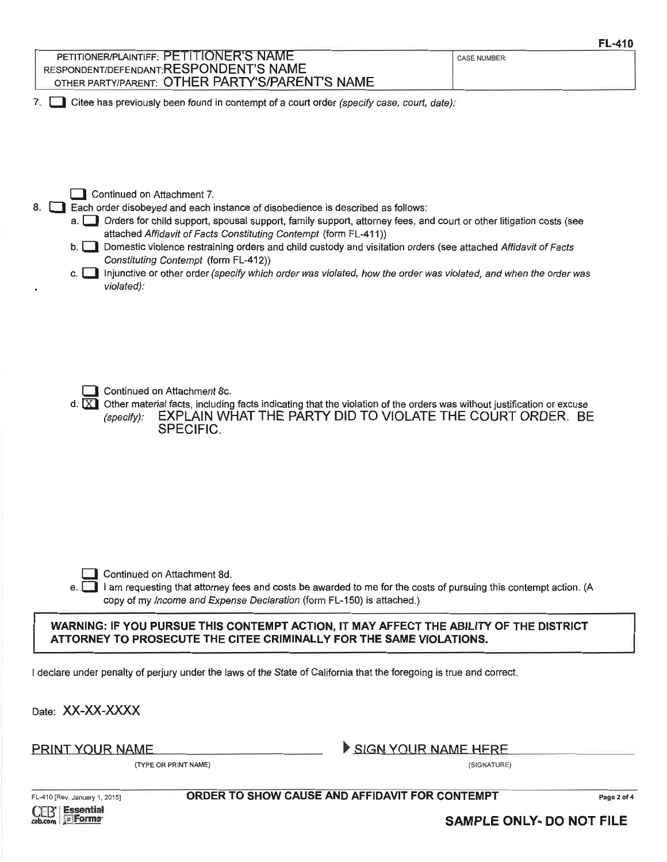|    | PETITIONER/PLAINTIFF: PETITIONER'S NAME                                                                                                                                                                                                                                                                                                                                                                                                                                                                                                                                                                             | <b>CASE NUMBER:</b> |
|----|---------------------------------------------------------------------------------------------------------------------------------------------------------------------------------------------------------------------------------------------------------------------------------------------------------------------------------------------------------------------------------------------------------------------------------------------------------------------------------------------------------------------------------------------------------------------------------------------------------------------|---------------------|
|    | RESPONDENT/DEFENDANT:RESPONDENT'S NAME                                                                                                                                                                                                                                                                                                                                                                                                                                                                                                                                                                              |                     |
|    | OTHER PARTY/PARENT: OTHER PARTY'S/PARENT'S NAME                                                                                                                                                                                                                                                                                                                                                                                                                                                                                                                                                                     |                     |
|    |                                                                                                                                                                                                                                                                                                                                                                                                                                                                                                                                                                                                                     |                     |
| 7. | Citee has previously been found in contempt of a court order (specify case, court, date):                                                                                                                                                                                                                                                                                                                                                                                                                                                                                                                           |                     |
|    | Continued on Attachment 7.<br>Each order disobeyed and each instance of disobedience is described as follows:<br>8. LI<br>a. Orders for child support, spousal support, family support, attorney fees, and court or other litigation costs (see<br>attached Affidavit of Facts Constituting Contempt (form FL-411))<br>b. Domestic violence restraining orders and child custody and visitation orders (see attached Affidavit of Facts<br>Constituting Contempt (form FL-412))<br>c. Injunctive or other order (specify which order was violated, how the order was violated, and when the order was<br>violated): |                     |
|    | Continued on Attachment 8c.<br>d. $\boxed{\times}$ Other material facts, including facts indicating that the violation of the orders was without justification or excuse<br>EXPLAIN WHAT THE PARTY DID TO VIOLATE THE COURT ORDER. BE<br>(specify):<br>SPECIFIC.                                                                                                                                                                                                                                                                                                                                                    |                     |
|    | Continued on Attachment 8d.<br>I am requesting that attorney fees and costs be awarded to me for the costs of pursuing this contempt action. (A<br>copy of my Income and Expense Declaration (form FL-150) is attached.)                                                                                                                                                                                                                                                                                                                                                                                            |                     |
|    | WARNING: IF YOU PURSUE THIS CONTEMPT ACTION, IT MAY AFFECT THE ABILITY OF THE DISTRICT<br>ATTORNEY TO PROSECUTE THE CITEE CRIMINALLY FOR THE SAME VIOLATIONS.                                                                                                                                                                                                                                                                                                                                                                                                                                                       |                     |
|    | I declare under penalty of perjury under the laws of the State of California that the foregoing is true and correct.                                                                                                                                                                                                                                                                                                                                                                                                                                                                                                |                     |
|    | Date: XX-XX-XXXX                                                                                                                                                                                                                                                                                                                                                                                                                                                                                                                                                                                                    |                     |
|    | SIGN YOUR NAME HERE<br><b>PRINT YOUR NAME</b>                                                                                                                                                                                                                                                                                                                                                                                                                                                                                                                                                                       |                     |

(TYPE OR PRINT NAME)

(SIGNATURE)

ORDER TO SHOW CAUSE AND AFFIDAVIT FOR CONTEMPT

Page 2 of 4



FL-410 [Rev. January 1, 2015]

**SAMPLE ONLY- DO NOT FILE**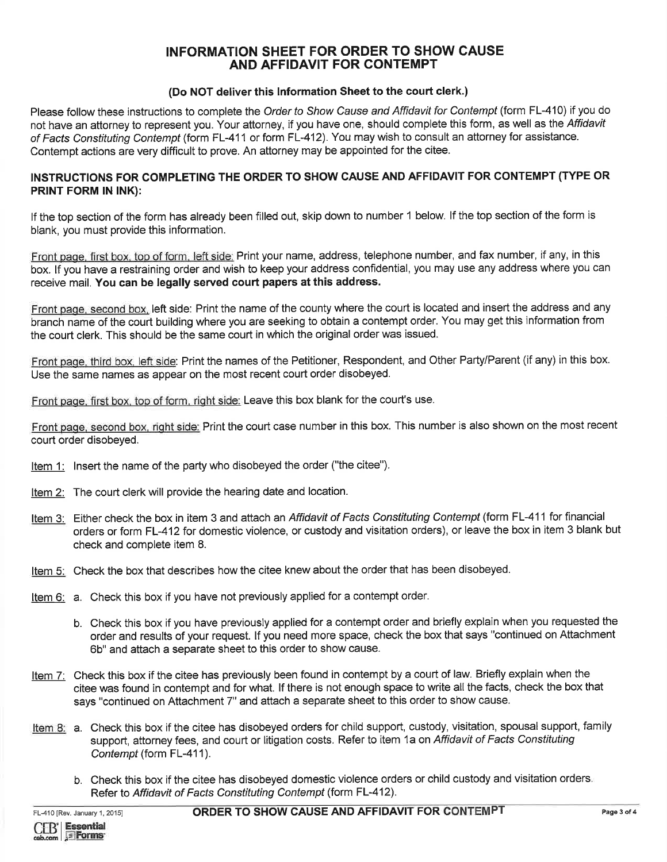### **INFORMATION SHEET FOR ORDER TO SHOW CAUSE** AND AFFIDAVIT FOR CONTEMPT

#### (Do NOT deliver this Information Sheet to the court clerk.)

Please follow these instructions to complete the Order to Show Cause and Affidavit for Contempt (form FL-410) if you do not have an attorney to represent you. Your attorney, if you have one, should complete this form, as well as the Affidavit of Facts Constituting Contempt (form FL-411 or form FL-412). You may wish to consult an attorney for assistance. Contempt actions are very difficult to prove. An attorney may be appointed for the citee.

#### INSTRUCTIONS FOR COMPLETING THE ORDER TO SHOW CAUSE AND AFFIDAVIT FOR CONTEMPT (TYPE OR **PRINT FORM IN INK):**

If the top section of the form has already been filled out, skip down to number 1 below. If the top section of the form is blank, you must provide this information.

Front page, first box, top of form, left side: Print your name, address, telephone number, and fax number, if any, in this box. If you have a restraining order and wish to keep your address confidential, you may use any address where you can receive mail. You can be legally served court papers at this address.

Front page, second box, left side: Print the name of the county where the court is located and insert the address and any branch name of the court building where you are seeking to obtain a contempt order. You may get this information from the court clerk. This should be the same court in which the original order was issued.

Front page, third box, left side: Print the names of the Petitioner, Respondent, and Other Party/Parent (if any) in this box. Use the same names as appear on the most recent court order disobeyed.

Front page, first box, top of form, right side: Leave this box blank for the court's use.

Front page, second box, right side: Print the court case number in this box. This number is also shown on the most recent court order disobeyed.

- Item 1: Insert the name of the party who disobeyed the order ("the citee").
- Item 2: The court clerk will provide the hearing date and location.
- Item 3: Either check the box in item 3 and attach an Affidavit of Facts Constituting Contempt (form FL-411 for financial orders or form FL-412 for domestic violence, or custody and visitation orders), or leave the box in item 3 blank but check and complete item 8.
- Item 5: Check the box that describes how the citee knew about the order that has been disobeyed.
- Item 6: a. Check this box if you have not previously applied for a contempt order.
	- b. Check this box if you have previously applied for a contempt order and briefly explain when you requested the order and results of your request. If you need more space, check the box that says "continued on Attachment 6b" and attach a separate sheet to this order to show cause.
- Item 7: Check this box if the citee has previously been found in contempt by a court of law. Briefly explain when the citee was found in contempt and for what. If there is not enough space to write all the facts, check the box that says "continued on Attachment 7" and attach a separate sheet to this order to show cause.
- Item 8: a. Check this box if the citee has disobeyed orders for child support, custody, visitation, spousal support, family support, attorney fees, and court or litigation costs. Refer to item 1a on Affidavit of Facts Constituting Contempt (form FL-411).
	- b. Check this box if the citee has disobeyed domestic violence orders or child custody and visitation orders. Refer to Affidavit of Facts Constituting Contempt (form FL-412).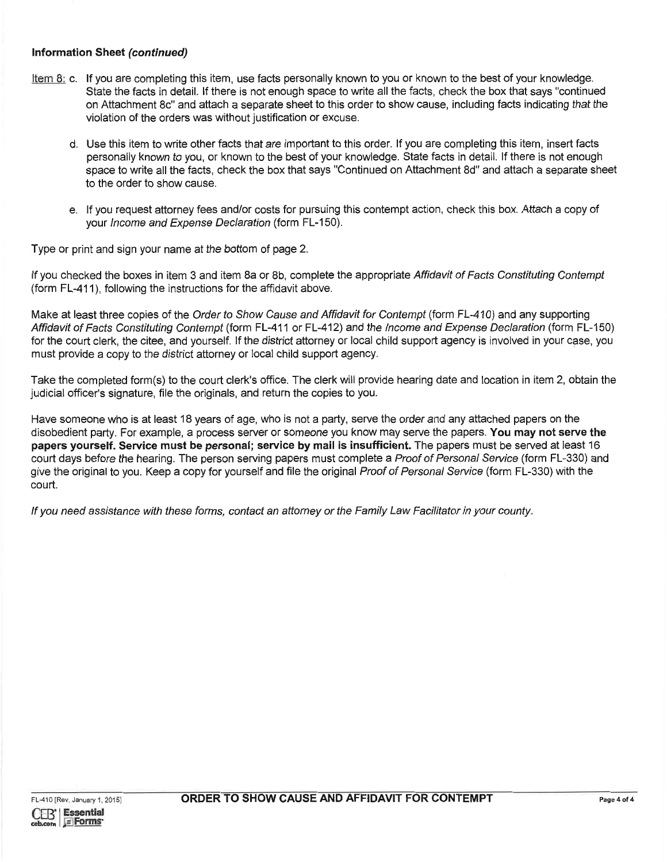#### Information Sheet (continued)

- Item 8: c. If you are completing this item, use facts personally known to you or known to the best of your knowledge. State the facts in detail. If there is not enough space to write all the facts, check the box that says "continued" on Attachment 8c" and attach a separate sheet to this order to show cause, including facts indicating that the violation of the orders was without justification or excuse.
	- d. Use this item to write other facts that are important to this order. If you are completing this item, insert facts personally known to you, or known to the best of your knowledge. State facts in detail. If there is not enough space to write all the facts, check the box that says "Continued on Attachment 8d" and attach a separate sheet to the order to show cause.
	- e. If you request attorney fees and/or costs for pursuing this contempt action, check this box. Attach a copy of your Income and Expense Declaration (form FL-150).

Type or print and sign your name at the bottom of page 2.

If you checked the boxes in item 3 and item 8a or 8b, complete the appropriate Affidavit of Facts Constituting Contempt (form FL-411), following the instructions for the affidavit above.

Make at least three copies of the Order to Show Cause and Affidavit for Contempt (form FL-410) and any supporting Affidavit of Facts Constituting Contempt (form FL-411 or FL-412) and the Income and Expense Declaration (form FL-150) for the court clerk, the citee, and yourself. If the district attorney or local child support agency is involved in your case, you must provide a copy to the district attorney or local child support agency.

Take the completed form(s) to the court clerk's office. The clerk will provide hearing date and location in item 2, obtain the judicial officer's signature, file the originals, and return the copies to you.

Have someone who is at least 18 years of age, who is not a party, serve the order and any attached papers on the disobedient party. For example, a process server or someone you know may serve the papers. You may not serve the papers yourself. Service must be personal; service by mail is insufficient. The papers must be served at least 16 court days before the hearing. The person serving papers must complete a Proof of Personal Service (form FL-330) and give the original to you. Keep a copy for yourself and file the original Proof of Personal Service (form FL-330) with the court.

If you need assistance with these forms, contact an attorney or the Family Law Facilitator in your county.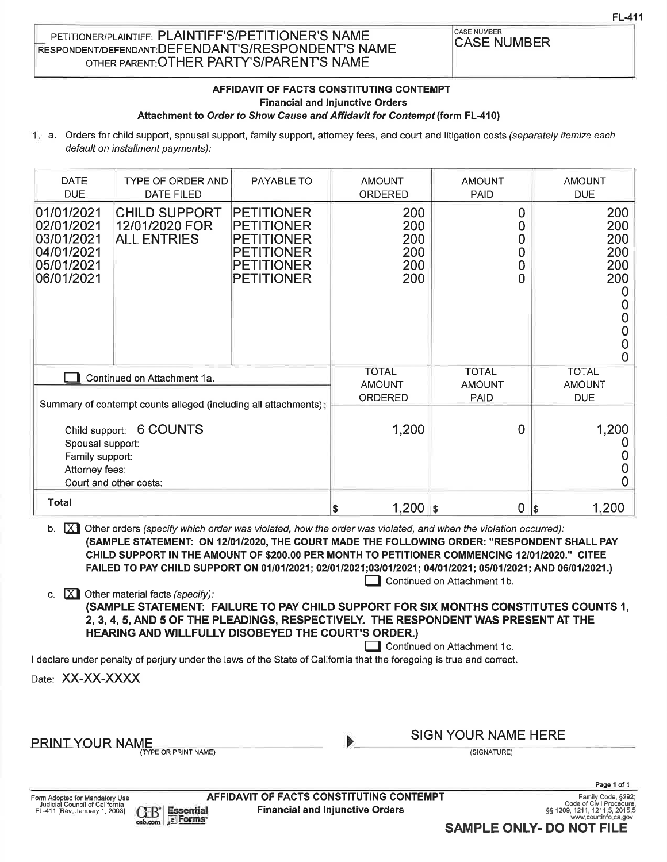#### PETITIONER/PLAINTIFF: PLAINTIFF'S/PETITIONER'S NAME RESPONDENT/DEFENDANT:DEFENDANT'S/RESPONDENT'S NAME OTHER PARENT: OTHER PARTY'S/PARENT'S NAME

#### CASE NUMBER: **CASE NUMBER**

#### AFFIDAVIT OF FACTS CONSTITUTING CONTEMPT **Financial and Injunctive Orders**

#### Attachment to Order to Show Cause and Affidavit for Contempt (form FL-410)

1. a. Orders for child support, spousal support, family support, attorney fees, and court and litigation costs (separately itemize each default on installment payments):

| <b>DATE</b><br><b>DUE</b>                                                        | TYPE OF ORDER AND<br><b>DATE FILED</b>                                                                                                                                                                                                                                                                                                                                                                                                                                                                                                                                                                                                                                                                                                                                                                                       | PAYABLE TO                                                                                                                 | <b>AMOUNT</b><br>ORDERED                                                           | <b>AMOUNT</b><br><b>PAID</b>                               | <b>AMOUNT</b><br><b>DUE</b>                                                      |
|----------------------------------------------------------------------------------|------------------------------------------------------------------------------------------------------------------------------------------------------------------------------------------------------------------------------------------------------------------------------------------------------------------------------------------------------------------------------------------------------------------------------------------------------------------------------------------------------------------------------------------------------------------------------------------------------------------------------------------------------------------------------------------------------------------------------------------------------------------------------------------------------------------------------|----------------------------------------------------------------------------------------------------------------------------|------------------------------------------------------------------------------------|------------------------------------------------------------|----------------------------------------------------------------------------------|
| 01/01/2021<br>02/01/2021<br>03/01/2021<br>04/01/2021<br>05/01/2021<br>06/01/2021 | <b>CHILD SUPPORT</b><br>12/01/2020 FOR<br><b>ALL ENTRIES</b>                                                                                                                                                                                                                                                                                                                                                                                                                                                                                                                                                                                                                                                                                                                                                                 | <b>PETITIONER</b><br><b>PETITIONER</b><br><b>PETITIONER</b><br><b>PETITIONER</b><br><b>PETITIONER</b><br><b>PETITIONER</b> | 200<br>200<br>200<br>200<br>200<br>200                                             | 0<br>0<br>0<br>0<br>0<br>0                                 | 200<br>200<br>200<br>200<br>200<br>200<br>0<br>0<br>0<br>0<br>0<br>0             |
|                                                                                  | Continued on Attachment 1a.                                                                                                                                                                                                                                                                                                                                                                                                                                                                                                                                                                                                                                                                                                                                                                                                  |                                                                                                                            | <b>TOTAL</b><br><b>AMOUNT</b><br>ORDERED                                           | <b>TOTAL</b><br><b>AMOUNT</b><br><b>PAID</b>               | <b>TOTAL</b><br><b>AMOUNT</b><br><b>DUE</b>                                      |
| Spousal support:<br>Family support:<br>Attorney fees:                            | Summary of contempt counts alleged (including all attachments);<br>Child support: 6 COUNTS<br>Court and other costs:                                                                                                                                                                                                                                                                                                                                                                                                                                                                                                                                                                                                                                                                                                         |                                                                                                                            | 1,200                                                                              | $\mathbf 0$                                                | 1,200<br>U<br>0<br>0<br>0                                                        |
| <b>Total</b>                                                                     |                                                                                                                                                                                                                                                                                                                                                                                                                                                                                                                                                                                                                                                                                                                                                                                                                              |                                                                                                                            | $1,200$   \$<br>\$                                                                 | $\overline{0}$                                             | 1,200<br>∣\$                                                                     |
| -IXI<br>b.<br>c. $\mathbf{X}$                                                    | Other orders (specify which order was violated, how the order was violated, and when the violation occurred):<br>(SAMPLE STATEMENT: ON 12/01/2020, THE COURT MADE THE FOLLOWING ORDER: "RESPONDENT SHALL PAY<br>CHILD SUPPORT IN THE AMOUNT OF \$200.00 PER MONTH TO PETITIONER COMMENCING 12/01/2020." CITEE<br>FAILED TO PAY CHILD SUPPORT ON 01/01/2021; 02/01/2021;03/01/2021; 04/01/2021; 05/01/2021; AND 06/01/2021.)<br>Other material facts (specify):<br>(SAMPLE STATEMENT: FAILURE TO PAY CHILD SUPPORT FOR SIX MONTHS CONSTITUTES COUNTS 1,<br>2, 3, 4, 5, AND 5 OF THE PLEADINGS, RESPECTIVELY. THE RESPONDENT WAS PRESENT AT THE<br>HEARING AND WILLFULLY DISOBEYED THE COURT'S ORDER.)<br>I declare under penalty of perjury under the laws of the State of California that the foregoing is true and correct. |                                                                                                                            |                                                                                    | Continued on Attachment 1b.<br>Continued on Attachment 1c. |                                                                                  |
| Date: XX-XX-XXXX                                                                 |                                                                                                                                                                                                                                                                                                                                                                                                                                                                                                                                                                                                                                                                                                                                                                                                                              |                                                                                                                            |                                                                                    | <b>SIGN YOUR NAME HERE</b>                                 |                                                                                  |
| <b>PRINT YOUR NAME</b>                                                           | (TYPE OR PRINT NAME)                                                                                                                                                                                                                                                                                                                                                                                                                                                                                                                                                                                                                                                                                                                                                                                                         |                                                                                                                            |                                                                                    | (SIGNATURE)                                                |                                                                                  |
|                                                                                  |                                                                                                                                                                                                                                                                                                                                                                                                                                                                                                                                                                                                                                                                                                                                                                                                                              |                                                                                                                            |                                                                                    |                                                            | Page 1 of 1                                                                      |
| Form Adopted for Mandatory Use<br>Judicial Council of California                 | <b>Essential</b>                                                                                                                                                                                                                                                                                                                                                                                                                                                                                                                                                                                                                                                                                                                                                                                                             |                                                                                                                            | AFFIDAVIT OF FACTS CONSTITUTING CONTEMPT<br><b>Financial and Injunctive Orders</b> |                                                            | Family Code, §292;<br>Code of Civil Procedure<br>§§ 1209, 1211, 1211, 5, 2015, 5 |
| FL-411 [Rev. January 1, 2003]                                                    | <b>E</b> Forms<br>ceb.com                                                                                                                                                                                                                                                                                                                                                                                                                                                                                                                                                                                                                                                                                                                                                                                                    |                                                                                                                            |                                                                                    |                                                            | www.courtinfo.ca.gov<br>CAMBLE ANIV DA NATELE                                    |

**SAMPLE ONLY- DO NOT FILE**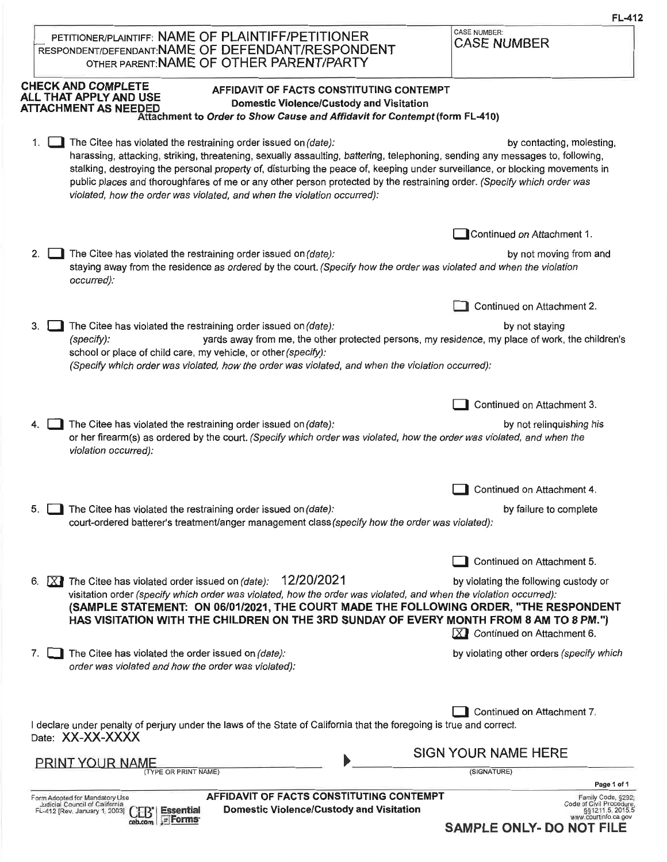| PETITIONER/PLAINTIFF: NAME OF PLAINTIFF/PETITIONER<br>RESPONDENT/DEFENDANT:NAME OF DEFENDANT/RESPONDENT<br>OTHER PARENT: NAME OF OTHER PARENT/PARTY                                                                                                                                                                                                                                                                                                                                                                                        | <b>CASE NUMBER:</b><br><b>CASE NUMBER</b>                                                |
|--------------------------------------------------------------------------------------------------------------------------------------------------------------------------------------------------------------------------------------------------------------------------------------------------------------------------------------------------------------------------------------------------------------------------------------------------------------------------------------------------------------------------------------------|------------------------------------------------------------------------------------------|
| <b>CHECK AND COMPLETE</b><br>AFFIDAVIT OF FACTS CONSTITUTING CONTEMPT<br>. THAT APPLY AND USE<br><b>Domestic Violence/Custody and Visitation</b><br><b>ATTACHMENT AS NEEDED</b><br>Attachment to Order to Show Cause and Affidavit for Contempt (form FL-410)                                                                                                                                                                                                                                                                              |                                                                                          |
| 1.<br>The Citee has violated the restraining order issued on (date):<br>harassing, attacking, striking, threatening, sexually assaulting, battering, telephoning, sending any messages to, following,<br>stalking, destroying the personal property of, disturbing the peace of, keeping under surveillance, or blocking movements in<br>public places and thoroughfares of me or any other person protected by the restraining order. (Specify which order was<br>violated, how the order was violated, and when the violation occurred): | by contacting, molesting,                                                                |
|                                                                                                                                                                                                                                                                                                                                                                                                                                                                                                                                            | Continued on Attachment 1.                                                               |
| 2.<br>The Citee has violated the restraining order issued on (date):<br>staying away from the residence as ordered by the court. (Specify how the order was violated and when the violation<br>occurred):                                                                                                                                                                                                                                                                                                                                  | by not moving from and                                                                   |
|                                                                                                                                                                                                                                                                                                                                                                                                                                                                                                                                            | Continued on Attachment 2.                                                               |
| 3.<br>The Citee has violated the restraining order issued on (date):<br>(specify):<br>yards away from me, the other protected persons, my residence, my place of work, the children's<br>school or place of child care, my vehicle, or other (specify):<br>(Specify which order was violated, how the order was violated, and when the violation occurred):                                                                                                                                                                                | by not staying                                                                           |
|                                                                                                                                                                                                                                                                                                                                                                                                                                                                                                                                            | Continued on Attachment 3.                                                               |
| The Citee has violated the restraining order issued on (date):<br>4. l<br>or her firearm(s) as ordered by the court. (Specify which order was violated, how the order was violated, and when the<br>violation occurred):                                                                                                                                                                                                                                                                                                                   | by not relinguishing his                                                                 |
|                                                                                                                                                                                                                                                                                                                                                                                                                                                                                                                                            | Continued on Attachment 4.                                                               |
| The Citee has violated the restraining order issued on (date):<br>5.1<br>court-ordered batterer's treatment/anger management class (specify how the order was violated);                                                                                                                                                                                                                                                                                                                                                                   | by failure to complete                                                                   |
|                                                                                                                                                                                                                                                                                                                                                                                                                                                                                                                                            | Continued on Attachment 5.                                                               |
| $\overline{X}$ The Citee has violated order issued on (date):<br>12/20/2021<br>6.<br>visitation order (specify which order was violated, how the order was violated, and when the violation occurred):<br>(SAMPLE STATEMENT: ON 06/01/2021, THE COURT MADE THE FOLLOWING ORDER, "THE RESPONDENT<br>HAS VISITATION WITH THE CHILDREN ON THE 3RD SUNDAY OF EVERY MONTH FROM 8 AM TO 8 PM.")                                                                                                                                                  | by violating the following custody or<br>$\overline{X}$ Continued on Attachment 6.       |
| 7.<br>The Citee has violated the order issued on (date):<br>order was violated and how the order was violated):                                                                                                                                                                                                                                                                                                                                                                                                                            | by violating other orders (specify which                                                 |
| I declare under penalty of perjury under the laws of the State of California that the foregoing is true and correct.<br>Date: XX-XX-XXXX                                                                                                                                                                                                                                                                                                                                                                                                   | Continued on Attachment 7.                                                               |
| <b>PRINT YOUR NAME</b>                                                                                                                                                                                                                                                                                                                                                                                                                                                                                                                     | <b>SIGN YOUR NAME HERE</b>                                                               |
| (TYPE OR PRINT NAME)                                                                                                                                                                                                                                                                                                                                                                                                                                                                                                                       | (SIGNATURE)<br>Page 1 of 1                                                               |
| AFFIDAVIT OF FACTS CONSTITUTING CONTEMPT<br>Form Adopted for Mandatory Us e<br>Judicial Council of California<br><b>Domestic Violence/Custody and Visitation</b><br><b>Essential</b><br>FL-412 [Rev. January 1, 2003]<br>$\varepsilon$ Forms<br>ceb.com                                                                                                                                                                                                                                                                                    | Family Code, §292<br>Code of Civil Procedure<br>661211.5, 2015.5<br>www.courtinfo.ca.gov |

**FL-412** 

SAMPLE ONLY- DO NOT FILE